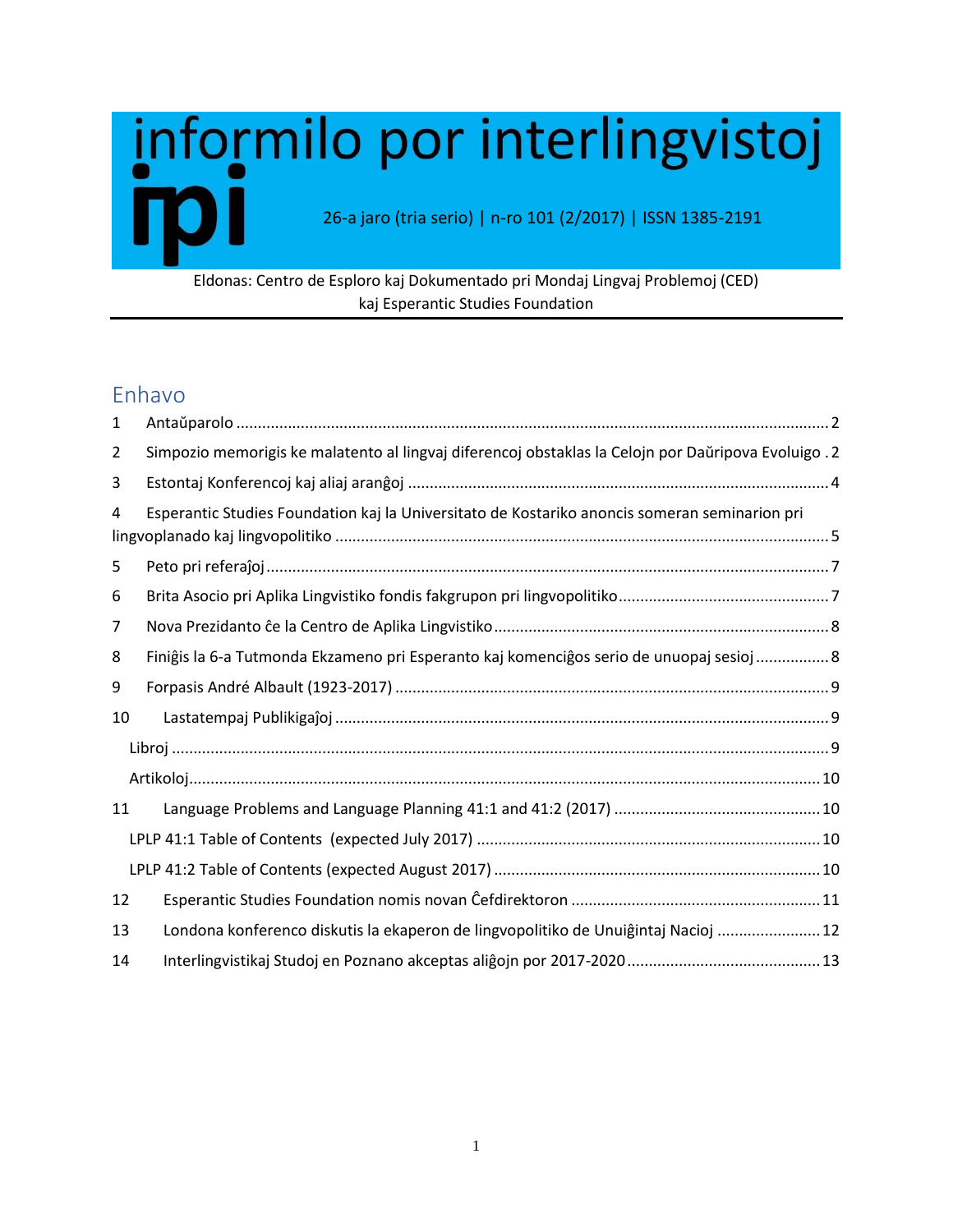# informilo por interlingvistoj 26-a jaro (tria serio) | n-ro 101 (2/2017) | ISSN 1385-2191

## Eldonas: Centro de Esploro kaj Dokumentado pri Mondaj Lingvaj Problemoj (CED) kaj Esperantic Studies Foundation

## Enhavo

| $\mathbf{1}$ |                                                                                                     |
|--------------|-----------------------------------------------------------------------------------------------------|
| 2            | Simpozio memorigis ke malatento al lingvaj diferencoj obstaklas la Celojn por Daŭripova Evoluigo .2 |
| 3            |                                                                                                     |
| 4            | Esperantic Studies Foundation kaj la Universitato de Kostariko anoncis someran seminarion pri       |
| 5            |                                                                                                     |
| 6            |                                                                                                     |
| 7            |                                                                                                     |
| 8            | Finiĝis la 6-a Tutmonda Ekzameno pri Esperanto kaj komenciĝos serio de unuopaj sesioj  8            |
| 9            |                                                                                                     |
| 10           |                                                                                                     |
|              |                                                                                                     |
|              |                                                                                                     |
| 11           |                                                                                                     |
|              |                                                                                                     |
|              |                                                                                                     |
| 12           |                                                                                                     |
| 13           | Londona konferenco diskutis la ekaperon de lingvopolitiko de Unuiĝintaj Nacioj  12                  |
| 14           |                                                                                                     |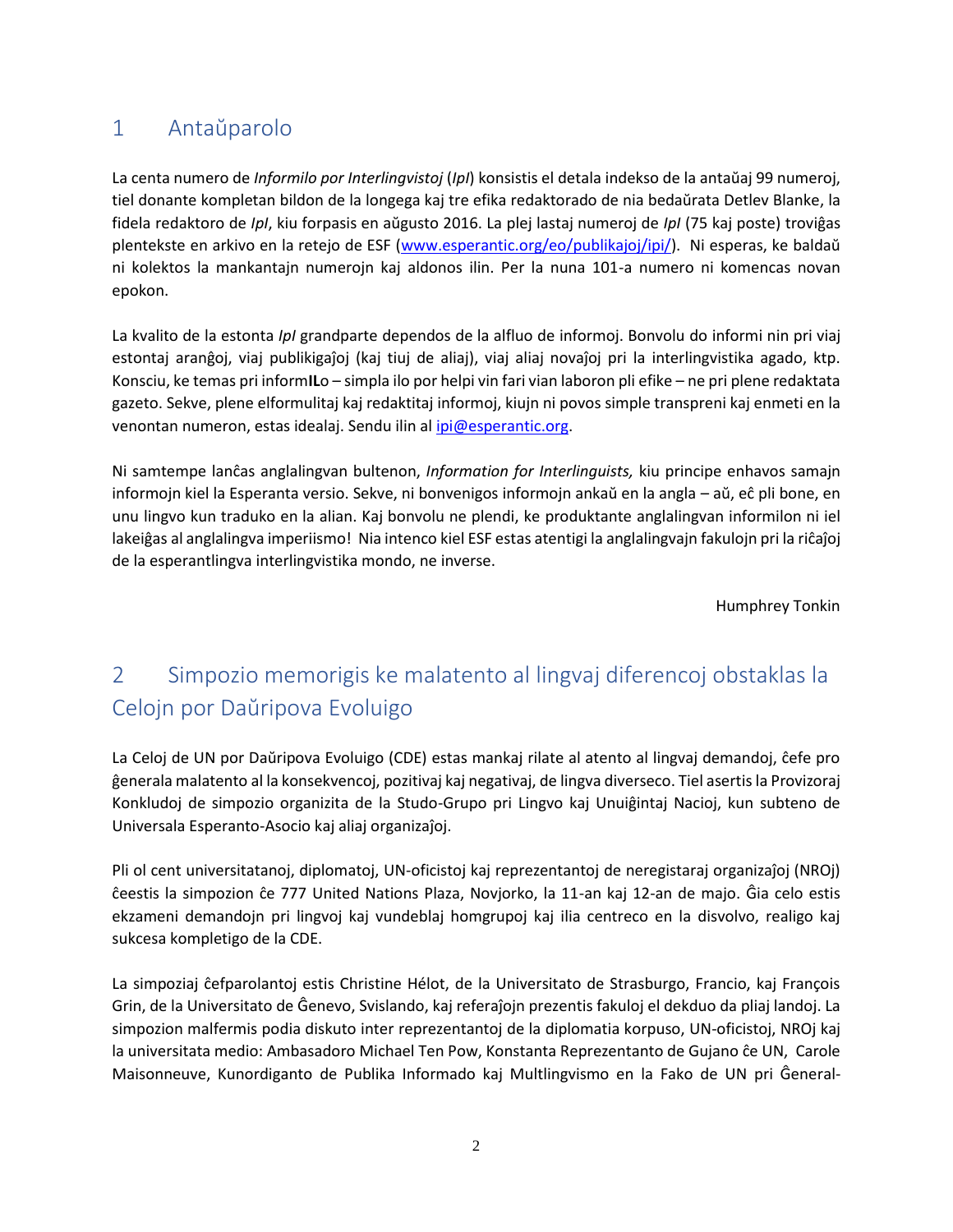## <span id="page-1-0"></span>1 Antaŭparolo

La centa numero de *Informilo por Interlingvistoj* (*IpI*) konsistis el detala indekso de la antaŭaj 99 numeroj, tiel donante kompletan bildon de la longega kaj tre efika redaktorado de nia bedaŭrata Detlev Blanke, la fidela redaktoro de *IpI*, kiu forpasis en aŭgusto 2016. La plej lastaj numeroj de *IpI* (75 kaj poste) troviĝas plentekste en arkivo en la retejo de ESF [\(www.esperantic.org/eo/publikajoj/ipi/](http://www.esperantic.org/eo/publikajoj/ipi/)). Ni esperas, ke baldaŭ ni kolektos la mankantajn numerojn kaj aldonos ilin. Per la nuna 101-a numero ni komencas novan epokon.

La kvalito de la estonta *IpI* grandparte dependos de la alfluo de informoj. Bonvolu do informi nin pri viaj estontaj aranĝoj, viaj publikigaĵoj (kaj tiuj de aliaj), viaj aliaj novaĵoj pri la interlingvistika agado, ktp. Konsciu, ke temas pri inform**IL**o – simpla ilo por helpi vin fari vian laboron pli efike – ne pri plene redaktata gazeto. Sekve, plene elformulitaj kaj redaktitaj informoj, kiujn ni povos simple transpreni kaj enmeti en la venontan numeron, estas idealaj. Sendu ilin al [ipi@esperantic.org.](mailto:ipi@esperantic.org)

Ni samtempe lanĉas anglalingvan bultenon, *Information for Interlinguists,* kiu principe enhavos samajn informojn kiel la Esperanta versio. Sekve, ni bonvenigos informojn ankaŭ en la angla – aŭ, eĉ pli bone, en unu lingvo kun traduko en la alian. Kaj bonvolu ne plendi, ke produktante anglalingvan informilon ni iel lakeiĝas al anglalingva imperiismo! Nia intenco kiel ESF estas atentigi la anglalingvajn fakulojn pri la riĉaĵoj de la esperantlingva interlingvistika mondo, ne inverse.

Humphrey Tonkin

# <span id="page-1-1"></span>2 Simpozio memorigis ke malatento al lingvaj diferencoj obstaklas la Celojn por Daŭripova Evoluigo

La Celoj de UN por Daŭripova Evoluigo (CDE) estas mankaj rilate al atento al lingvaj demandoj, ĉefe pro ĝenerala malatento al la konsekvencoj, pozitivaj kaj negativaj, de lingva diverseco. Tiel asertis la Provizoraj Konkludoj de simpozio organizita de la Studo-Grupo pri Lingvo kaj Unuiĝintaj Nacioj, kun subteno de Universala Esperanto-Asocio kaj aliaj organizaĵoj.

Pli ol cent universitatanoj, diplomatoj, UN-oficistoj kaj reprezentantoj de neregistaraj organizaĵoj (NROj) ĉeestis la simpozion ĉe 777 United Nations Plaza, Novjorko, la 11-an kaj 12-an de majo. Ĝia celo estis ekzameni demandojn pri lingvoj kaj vundeblaj homgrupoj kaj ilia centreco en la disvolvo, realigo kaj sukcesa kompletigo de la CDE.

La simpoziaj ĉefparolantoj estis Christine Hélot, de la Universitato de Strasburgo, Francio, kaj François Grin, de la Universitato de Ĝenevo, Svislando, kaj referaĵojn prezentis fakuloj el dekduo da pliaj landoj. La simpozion malfermis podia diskuto inter reprezentantoj de la diplomatia korpuso, UN-oficistoj, NROj kaj la universitata medio: Ambasadoro Michael Ten Pow, Konstanta Reprezentanto de Gujano ĉe UN, Carole Maisonneuve, Kunordiganto de Publika Informado kaj Multlingvismo en la Fako de UN pri Ĝeneral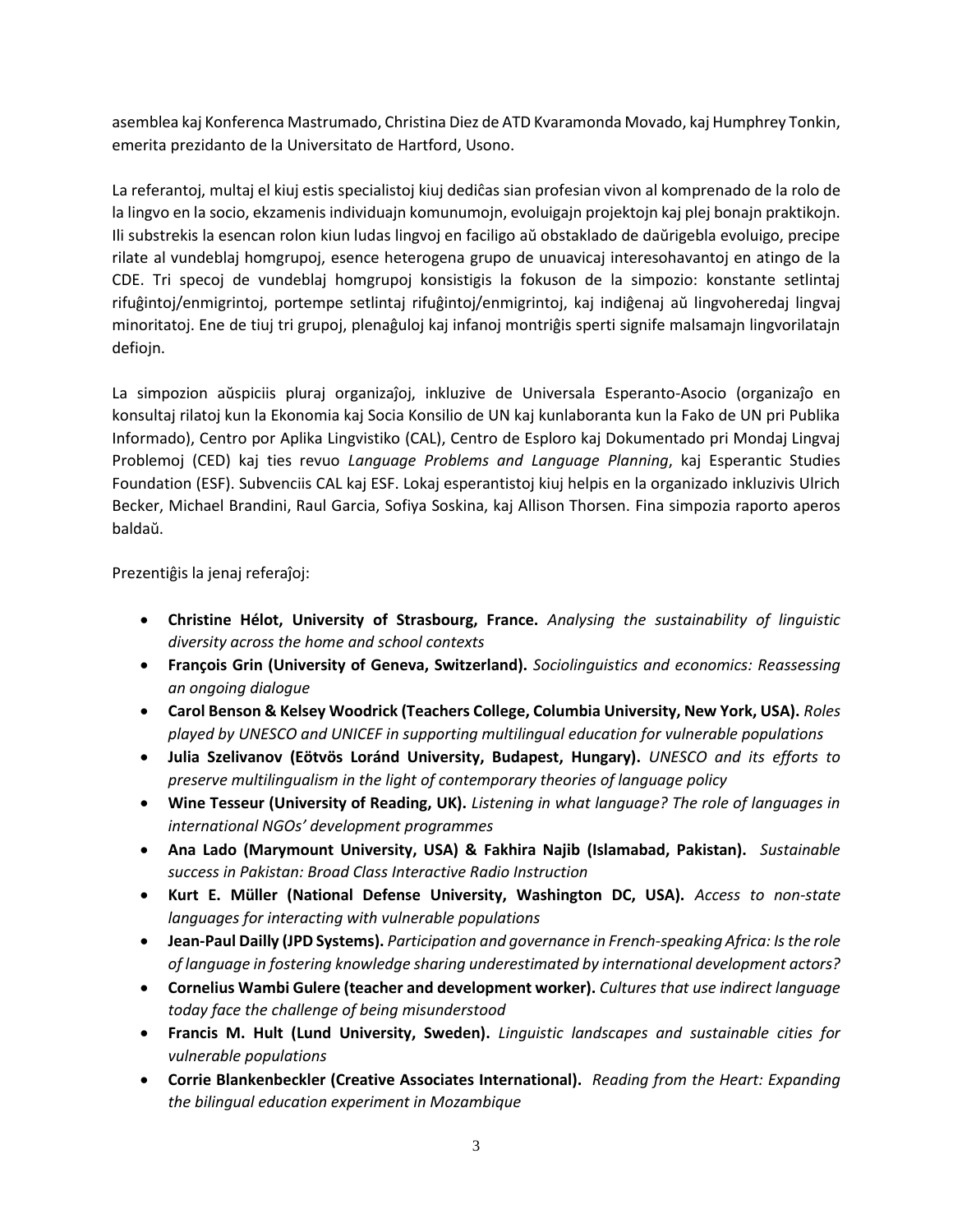asemblea kaj Konferenca Mastrumado, Christina Diez de ATD Kvaramonda Movado, kaj Humphrey Tonkin, emerita prezidanto de la Universitato de Hartford, Usono.

La referantoj, multaj el kiuj estis specialistoj kiuj dediĉas sian profesian vivon al komprenado de la rolo de la lingvo en la socio, ekzamenis individuajn komunumojn, evoluigajn projektojn kaj plej bonajn praktikojn. Ili substrekis la esencan rolon kiun ludas lingvoj en faciligo aŭ obstaklado de daŭrigebla evoluigo, precipe rilate al vundeblaj homgrupoj, esence heterogena grupo de unuavicaj interesohavantoj en atingo de la CDE. Tri specoj de vundeblaj homgrupoj konsistigis la fokuson de la simpozio: konstante setlintaj rifuĝintoj/enmigrintoj, portempe setlintaj rifuĝintoj/enmigrintoj, kaj indiĝenaj aŭ lingvoheredaj lingvaj minoritatoj. Ene de tiuj tri grupoj, plenaĝuloj kaj infanoj montriĝis sperti signife malsamajn lingvorilatajn defiojn.

La simpozion aŭspiciis pluraj organizaĵoj, inkluzive de Universala Esperanto-Asocio (organizaĵo en konsultaj rilatoj kun la Ekonomia kaj Socia Konsilio de UN kaj kunlaboranta kun la Fako de UN pri Publika Informado), Centro por Aplika Lingvistiko (CAL), Centro de Esploro kaj Dokumentado pri Mondaj Lingvaj Problemoj (CED) kaj ties revuo *Language Problems and Language Planning*, kaj Esperantic Studies Foundation (ESF). Subvenciis CAL kaj ESF. Lokaj esperantistoj kiuj helpis en la organizado inkluzivis Ulrich Becker, Michael Brandini, Raul Garcia, Sofiya Soskina, kaj Allison Thorsen. Fina simpozia raporto aperos baldaŭ.

Prezentiĝis la jenaj referaĵoj:

- **Christine Hélot, University of Strasbourg, France.** *Analysing the sustainability of linguistic diversity across the home and school contexts*
- **François Grin (University of Geneva, Switzerland).** *Sociolinguistics and economics: Reassessing an ongoing dialogue*
- **Carol Benson & Kelsey Woodrick (Teachers College, Columbia University, New York, USA).** *Roles played by UNESCO and UNICEF in supporting multilingual education for vulnerable populations*
- **Julia Szelivanov (Eötvös Loránd University, Budapest, Hungary).** *UNESCO and its efforts to preserve multilingualism in the light of contemporary theories of language policy*
- **Wine Tesseur (University of Reading, UK).** *Listening in what language? The role of languages in international NGOs' development programmes*
- **Ana Lado (Marymount University, USA) & Fakhira Najib (Islamabad, Pakistan).** *Sustainable success in Pakistan: Broad Class Interactive Radio Instruction*
- **Kurt E. Müller (National Defense University, Washington DC, USA).** *Access to non-state languages for interacting with vulnerable populations*
- **Jean-Paul Dailly (JPD Systems).** *Participation and governance in French-speaking Africa: Is the role of language in fostering knowledge sharing underestimated by international development actors?*
- **Cornelius Wambi Gulere (teacher and development worker).** *Cultures that use indirect language today face the challenge of being misunderstood*
- **Francis M. Hult (Lund University, Sweden).** *Linguistic landscapes and sustainable cities for vulnerable populations*
- **Corrie Blankenbeckler (Creative Associates International).** *Reading from the Heart: Expanding the bilingual education experiment in Mozambique*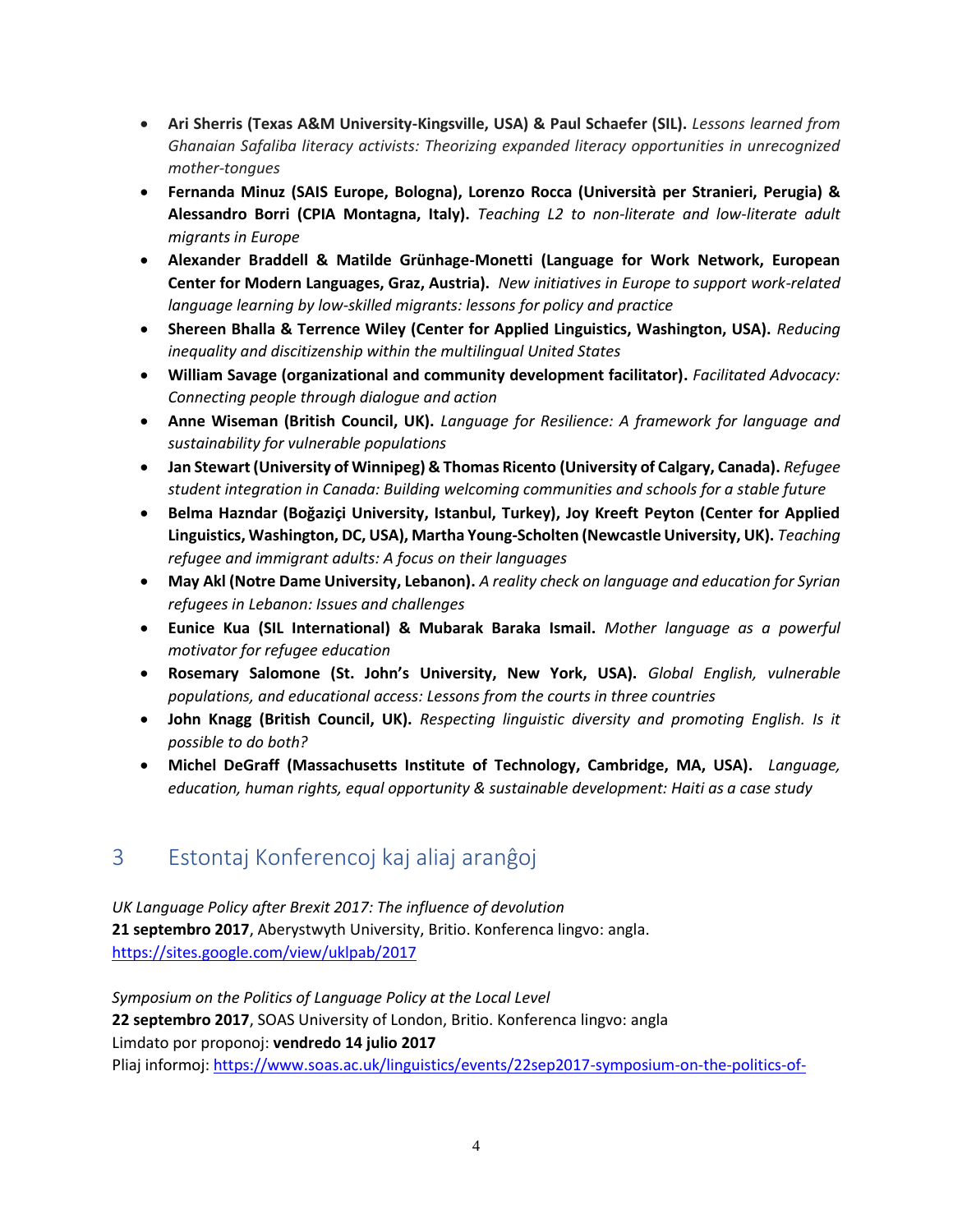- **Ari Sherris (Texas A&M University-Kingsville, USA) & Paul Schaefer (SIL).** *Lessons learned from Ghanaian Safaliba literacy activists: Theorizing expanded literacy opportunities in unrecognized mother-tongues*
- **Fernanda Minuz (SAIS Europe, Bologna), Lorenzo Rocca (Università per Stranieri, Perugia) & Alessandro Borri (CPIA Montagna, Italy).** *Teaching L2 to non-literate and low-literate adult migrants in Europe*
- **Alexander Braddell & Matilde Grünhage-Monetti (Language for Work Network, European Center for Modern Languages, Graz, Austria).** *New initiatives in Europe to support work-related language learning by low-skilled migrants: lessons for policy and practice*
- **Shereen Bhalla & Terrence Wiley (Center for Applied Linguistics, Washington, USA).** *Reducing inequality and discitizenship within the multilingual United States*
- **William Savage (organizational and community development facilitator).** *Facilitated Advocacy: Connecting people through dialogue and action*
- **Anne Wiseman (British Council, UK).** *Language for Resilience: A framework for language and sustainability for vulnerable populations*
- **Jan Stewart (University of Winnipeg) & Thomas Ricento (University of Calgary, Canada).** *Refugee student integration in Canada: Building welcoming communities and schools for a stable future*
- **Belma Hazndar (Boğaziçi University, Istanbul, Turkey), Joy Kreeft Peyton (Center for Applied Linguistics, Washington, DC, USA), Martha Young-Scholten (Newcastle University, UK).** *Teaching refugee and immigrant adults: A focus on their languages*
- **May Akl (Notre Dame University, Lebanon).** *A reality check on language and education for Syrian refugees in Lebanon: Issues and challenges*
- **Eunice Kua (SIL International) & Mubarak Baraka Ismail.** *Mother language as a powerful motivator for refugee education*
- **Rosemary Salomone (St. John's University, New York, USA).** *Global English, vulnerable populations, and educational access: Lessons from the courts in three countries*
- **John Knagg (British Council, UK).** *Respecting linguistic diversity and promoting English. Is it possible to do both?*
- **Michel DeGraff (Massachusetts Institute of Technology, Cambridge, MA, USA).** *Language, education, human rights, equal opportunity & sustainable development: Haiti as a case study*

## <span id="page-3-0"></span>3 Estontaj Konferencoj kaj aliaj aranĝoj

*UK Language Policy after Brexit 2017: The influence of devolution* **21 septembro 2017**, Aberystwyth University, Britio. Konferenca lingvo: angla. <https://sites.google.com/view/uklpab/2017>

*Symposium on the Politics of Language Policy at the Local Level* **22 septembro 2017**, SOAS University of London, Britio. Konferenca lingvo: angla Limdato por proponoj: **vendredo 14 julio 2017** Pliaj informoj: [https://www.soas.ac.uk/linguistics/events/22sep2017-symposium-on-the-politics-of-](https://www.soas.ac.uk/linguistics/events/22sep2017-symposium-on-the-politics-of-language-policy-at-the-local-level.html)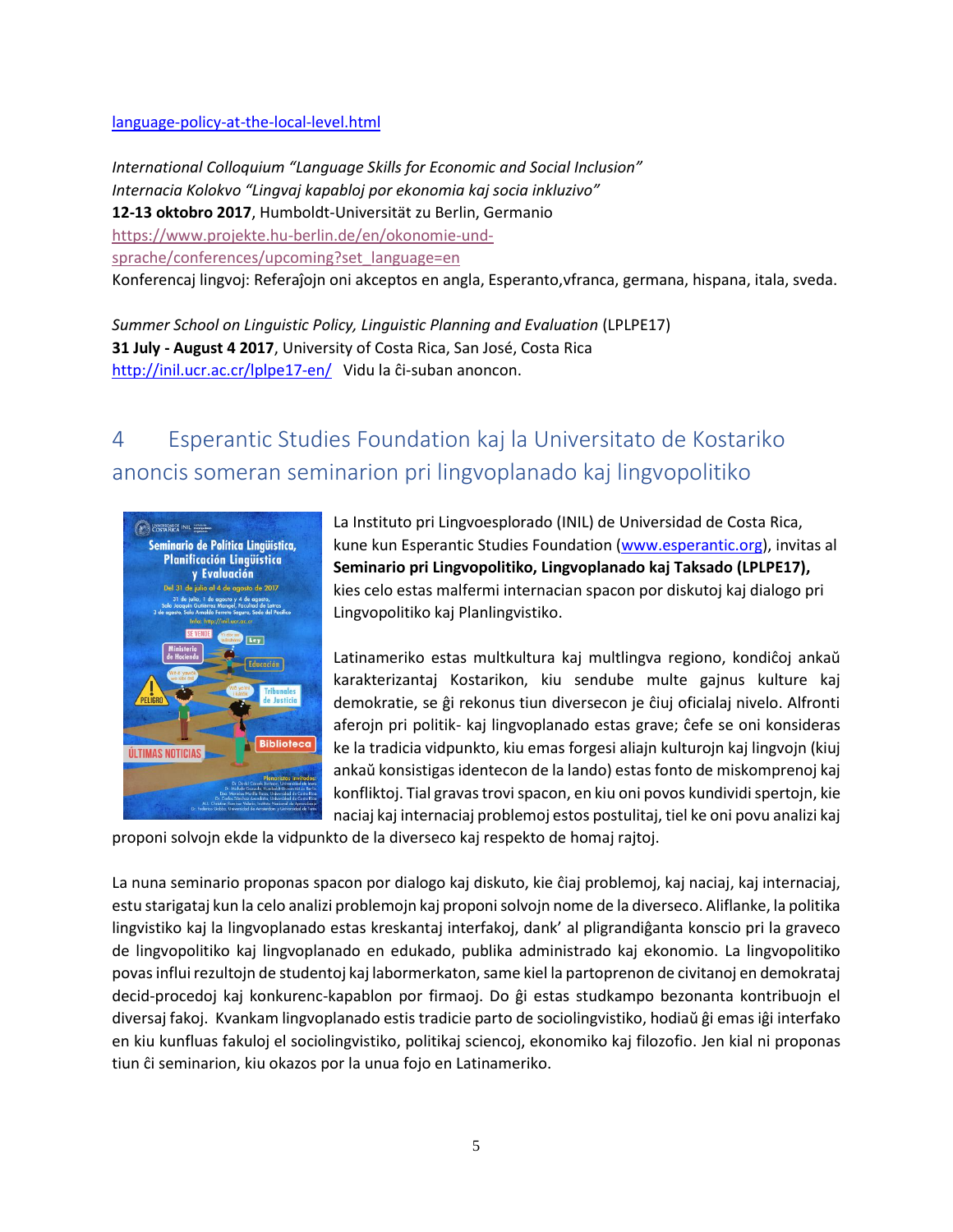#### [language-policy-at-the-local-level.html](https://www.soas.ac.uk/linguistics/events/22sep2017-symposium-on-the-politics-of-language-policy-at-the-local-level.html)

*International Colloquium "Language Skills for Economic and Social Inclusion" Internacia Kolokvo "Lingvaj kapabloj por ekonomia kaj socia inkluzivo"* **12-13 oktobro 2017**, Humboldt-Universität zu Berlin, Germanio [https://www.projekte.hu-berlin.de/en/okonomie-und](https://www.projekte.hu-berlin.de/en/okonomie-und-sprache/conferences/upcoming?set_language=en)[sprache/conferences/upcoming?set\\_language=en](https://www.projekte.hu-berlin.de/en/okonomie-und-sprache/conferences/upcoming?set_language=en) Konferencaj lingvoj: Referaĵojn oni akceptos en angla, Esperanto,vfranca, germana, hispana, itala, sveda.

*Summer School on Linguistic Policy, Linguistic Planning and Evaluation* (LPLPE17) **31 July - August 4 2017**, University of Costa Rica, San José, Costa Rica <http://inil.ucr.ac.cr/lplpe17-en/> Vidu la ĉi-suban anoncon.

# <span id="page-4-0"></span>4 Esperantic Studies Foundation kaj la Universitato de Kostariko anoncis someran seminarion pri lingvoplanado kaj lingvopolitiko



La Instituto pri Lingvoesplorado (INIL) de Universidad de Costa Rica, kune kun Esperantic Studies Foundation [\(www.esperantic.org\)](http://www.esperantic.org/), invitas al **Seminario pri Lingvopolitiko, Lingvoplanado kaj Taksado (LPLPE17),** kies celo estas malfermi internacian spacon por diskutoj kaj dialogo pri Lingvopolitiko kaj Planlingvistiko.

Latinameriko estas multkultura kaj multlingva regiono, kondiĉoj ankaŭ karakterizantaj Kostarikon, kiu sendube multe gajnus kulture kaj demokratie, se ĝi rekonus tiun diversecon je ĉiuj oficialaj nivelo. Alfronti aferojn pri politik- kaj lingvoplanado estas grave; ĉefe se oni konsideras ke la tradicia vidpunkto, kiu emas forgesi aliajn kulturojn kaj lingvojn (kiuj ankaŭ konsistigas identecon de la lando) estas fonto de miskomprenoj kaj konfliktoj. Tial gravas trovi spacon, en kiu oni povos kundividi spertojn, kie naciaj kaj internaciaj problemoj estos postulitaj, tiel ke oni povu analizi kaj

proponi solvojn ekde la vidpunkto de la diverseco kaj respekto de homaj rajtoj.

La nuna seminario proponas spacon por dialogo kaj diskuto, kie ĉiaj problemoj, kaj naciaj, kaj internaciaj, estu starigataj kun la celo analizi problemojn kaj proponi solvojn nome de la diverseco. Aliflanke, la politika lingvistiko kaj la lingvoplanado estas kreskantaj interfakoj, dank' al pligrandiĝanta konscio pri la graveco de lingvopolitiko kaj lingvoplanado en edukado, publika administrado kaj ekonomio. La lingvopolitiko povas influi rezultojn de studentoj kaj labormerkaton, same kiel la partoprenon de civitanoj en demokrataj decid-procedoj kaj konkurenc-kapablon por firmaoj. Do ĝi estas studkampo bezonanta kontribuojn el diversaj fakoj. Kvankam lingvoplanado estis tradicie parto de sociolingvistiko, hodiaŭ ĝi emas iĝi interfako en kiu kunfluas fakuloj el sociolingvistiko, politikaj sciencoj, ekonomiko kaj filozofio. Jen kial ni proponas tiun ĉi seminarion, kiu okazos por la unua fojo en Latinameriko.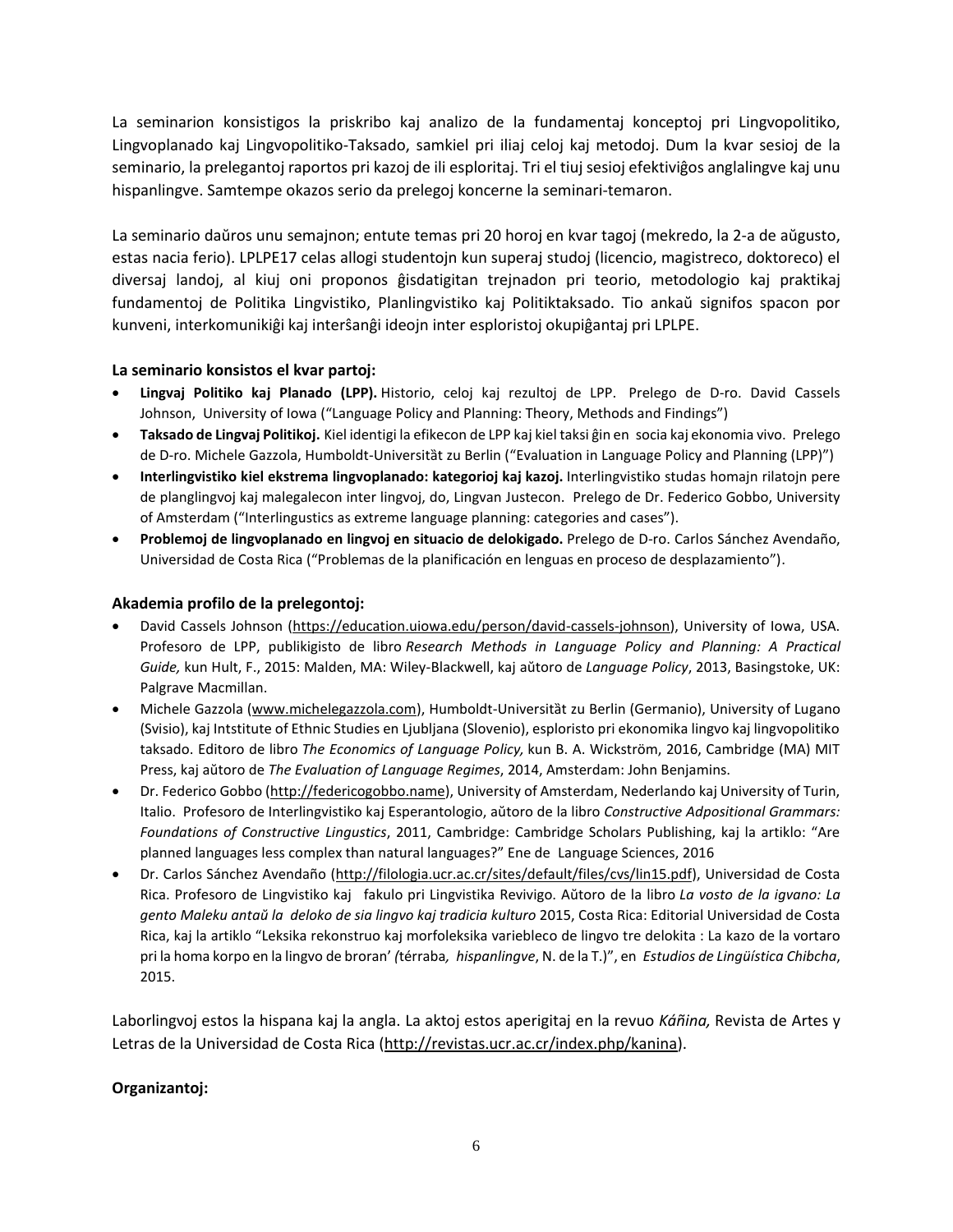La seminarion konsistigos la priskribo kaj analizo de la fundamentaj konceptoj pri Lingvopolitiko, Lingvoplanado kaj Lingvopolitiko-Taksado, samkiel pri iliaj celoj kaj metodoj. Dum la kvar sesioj de la seminario, la prelegantoj raportos pri kazoj de ili esploritaj. Tri el tiuj sesioj efektiviĝos anglalingve kaj unu hispanlingve. Samtempe okazos serio da prelegoj koncerne la seminari-temaron.

La seminario daŭros unu semajnon; entute temas pri 20 horoj en kvar tagoj (mekredo, la 2-a de aŭgusto, estas nacia ferio). LPLPE17 celas allogi studentojn kun superaj studoj (licencio, magistreco, doktoreco) el diversaj landoj, al kiuj oni proponos ĝisdatigitan trejnadon pri teorio, metodologio kaj praktikaj fundamentoj de Politika Lingvistiko, Planlingvistiko kaj Politiktaksado. Tio ankaŭ signifos spacon por kunveni, interkomunikiĝi kaj interŝanĝi ideojn inter esploristoj okupiĝantaj pri LPLPE.

#### **La seminario konsistos el kvar partoj:**

- **Lingvaj Politiko kaj Planado (LPP).** Historio, celoj kaj rezultoj de LPP. Prelego de D-ro. David Cassels Johnson, University of Iowa ("Language Policy and Planning: Theory, Methods and Findings")
- **Taksado de Lingvaj Politikoj.** Kiel identigi la efikecon de LPP kaj kiel taksi ĝin en socia kaj ekonomia vivo. Prelego de D-ro. Michele Gazzola, Humboldt-Universitàt zu Berlin ("Evaluation in Language Policy and Planning (LPP)")
- **Interlingvistiko kiel ekstrema lingvoplanado: kategorioj kaj kazoj.** Interlingvistiko studas homajn rilatojn pere de planglingvoj kaj malegalecon inter lingvoj, do, Lingvan Justecon. Prelego de Dr. Federico Gobbo, University of Amsterdam ("Interlingustics as extreme language planning: categories and cases").
- **Problemoj de lingvoplanado en lingvoj en situacio de delokigado.** Prelego de D-ro. Carlos Sánchez Avendaño, Universidad de Costa Rica ("Problemas de la planificación en lenguas en proceso de desplazamiento").

#### **Akademia profilo de la prelegontoj:**

- David Cassels Johnson [\(https://education.uiowa.edu/person/david-cassels-johnson\)](https://education.uiowa.edu/person/david-cassels-johnson), University of Iowa, USA. Profesoro de LPP, publikigisto de libro *Research Methods in Language Policy and Planning: A Practical Guide,* kun Hult, F., 2015: Malden, MA: Wiley-Blackwell, kaj aŭtoro de *Language Policy*, 2013, Basingstoke, UK: Palgrave Macmillan.
- Michele Gazzola [\(www.michelegazzola.com\)](http://www.michelegazzola.com/), Humboldt-Universität zu Berlin (Germanio), University of Lugano (Svisio), kaj Intstitute of Ethnic Studies en Ljubljana (Slovenio), esploristo pri ekonomika lingvo kaj lingvopolitiko taksado. Editoro de libro *The Economics of Language Policy,* kun B. A. Wickström, 2016, Cambridge (MA) MIT Press, kaj aŭtoro de *The Evaluation of Language Regimes*, 2014, Amsterdam: John Benjamins.
- Dr. Federico Gobbo [\(http://federicogobbo.name\)](http://federicogobbo.name/), University of Amsterdam, Nederlando kaj University of Turin, Italio. Profesoro de Interlingvistiko kaj Esperantologio, aŭtoro de la libro *Constructive Adpositional Grammars: Foundations of Constructive Lingustics*, 2011, Cambridge: Cambridge Scholars Publishing, kaj la artiklo: "Are planned languages less complex than natural languages?" Ene de Language Sciences, 2016
- Dr. Carlos Sánchez Avendaño [\(http://filologia.ucr.ac.cr/sites/default/files/cvs/lin15.pdf\)](http://163.178.170.46/filologia/flweb/sites/default/files/cvs/lin15.pdf), Universidad de Costa Rica. Profesoro de Lingvistiko kaj fakulo pri Lingvistika Revivigo. Aŭtoro de la libro *La vosto de la igvano: La gento Maleku antaŭ la deloko de sia lingvo kaj tradicia kulturo* 2015, Costa Rica: Editorial Universidad de Costa Rica, kaj la artiklo "Leksika rekonstruo kaj morfoleksika variebleco de lingvo tre delokita : La kazo de la vortaro pri la homa korpo en la lingvo de broran' *(*térraba*, hispanlingve*, N. de la T.)", en *Estudios de Lingüística Chibcha*, 2015.

Laborlingvoj estos la hispana kaj la angla. La aktoj estos aperigitaj en la revuo *Káñina,* Revista de Artes y Letras de la Universidad de Costa Rica [\(http://revistas.ucr.ac.cr/index.php/kanina\)](http://revistas.ucr.ac.cr/index.php/kanina).

#### **Organizantoj:**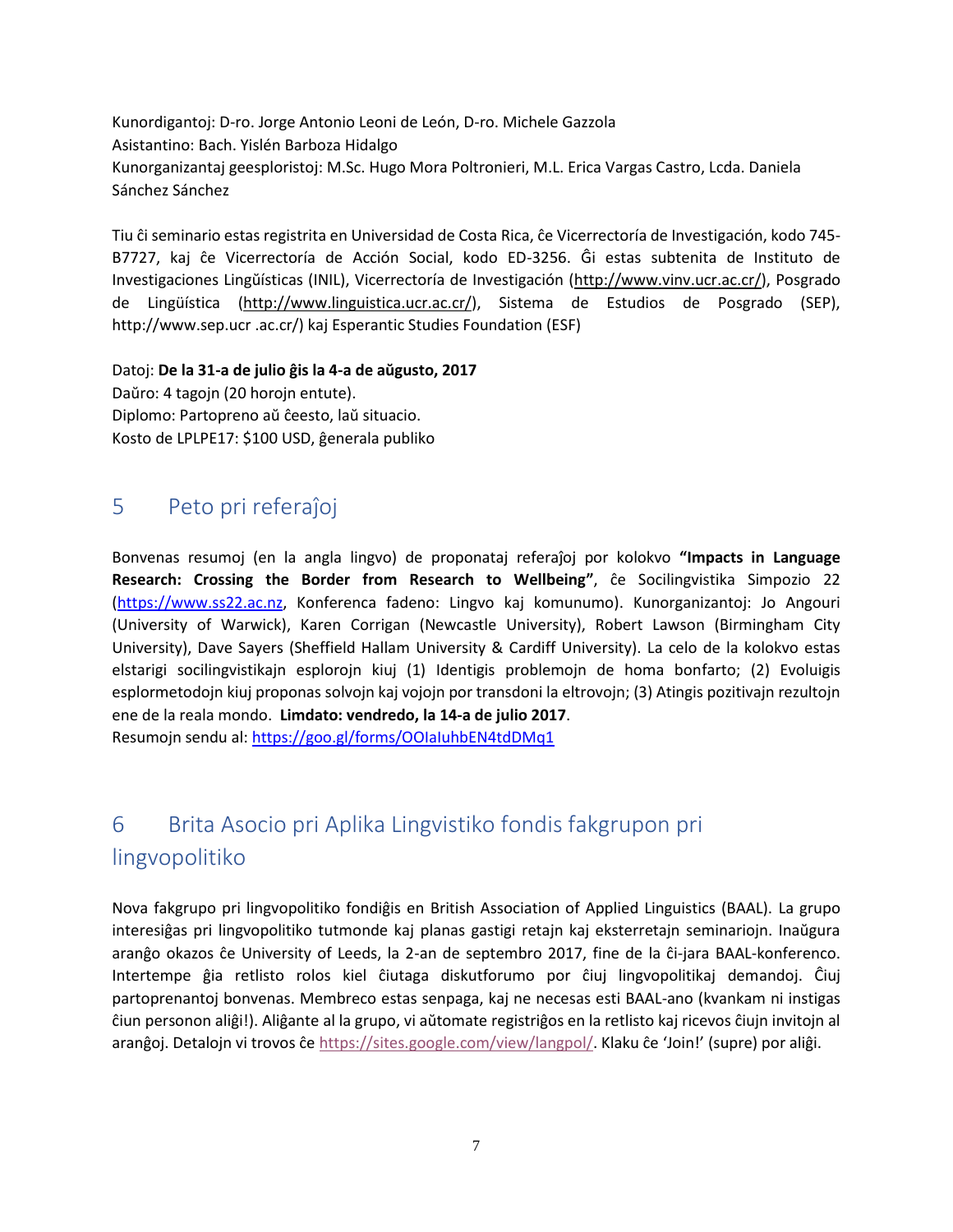Kunordigantoj: D-ro. Jorge Antonio Leoni de León, D-ro. Michele Gazzola Asistantino: Bach. Yislén Barboza Hidalgo Kunorganizantaj geesploristoj: M.Sc. Hugo Mora Poltronieri, M.L. Erica Vargas Castro, Lcda. Daniela Sánchez Sánchez

Tiu ĉi seminario estas registrita en Universidad de Costa Rica, ĉe Vicerrectoría de Investigación, kodo 745- B7727, kaj ĉe Vicerrectoría de Acción Social, kodo ED-3256. Ĝi estas subtenita de Instituto de Investigaciones Lingŭísticas (INIL), Vicerrectoría de Investigación ([http://www.vinv.ucr.ac.cr/\)](http://www.vinv.ucr.ac.cr/), Posgrado de Lingüística [\(http://www.linguistica.ucr.ac.cr/\)](http://www.linguistica.ucr.ac.cr/), Sistema de Estudios de Posgrado (SEP), http://www.sep.ucr .ac.cr/) kaj Esperantic Studies Foundation (ESF)

Datoj: **De la 31-a de julio ĝis la 4-a de aŭgusto, 2017** Daŭro: 4 tagojn (20 horojn entute). Diplomo: Partopreno aŭ ĉeesto, laŭ situacio. Kosto de LPLPE17: \$100 USD, ĝenerala publiko

## <span id="page-6-0"></span>5 Peto pri referaĵoj

Bonvenas resumoj (en la angla lingvo) de proponataj referaĵoj por kolokvo **"Impacts in Language Research: Crossing the Border from Research to Wellbeing"**, ĉe Socilingvistika Simpozio 22 [\(https://www.ss22.ac.nz,](https://www.ss22.ac.nz/) Konferenca fadeno: Lingvo kaj komunumo). Kunorganizantoj: Jo Angouri (University of Warwick), Karen Corrigan (Newcastle University), Robert Lawson (Birmingham City University), Dave Sayers (Sheffield Hallam University & Cardiff University). La celo de la kolokvo estas elstarigi socilingvistikajn esplorojn kiuj (1) Identigis problemojn de homa bonfarto; (2) Evoluigis esplormetodojn kiuj proponas solvojn kaj vojojn por transdoni la eltrovojn; (3) Atingis pozitivajn rezultojn ene de la reala mondo. **Limdato: vendredo, la 14-a de julio 2017**.

Resumojn sendu al:<https://goo.gl/forms/OOIaIuhbEN4tdDMq1>

# <span id="page-6-1"></span>6 Brita Asocio pri Aplika Lingvistiko fondis fakgrupon pri lingvopolitiko

Nova fakgrupo pri lingvopolitiko fondiĝis en British Association of Applied Linguistics (BAAL). La grupo interesiĝas pri lingvopolitiko tutmonde kaj planas gastigi retajn kaj eksterretajn seminariojn. Inaŭgura aranĝo okazos ĉe University of Leeds, la 2-an de septembro 2017, fine de la ĉi-jara BAAL-konferenco. Intertempe ĝia retlisto rolos kiel ĉiutaga diskutforumo por ĉiuj lingvopolitikaj demandoj. Ĉiuj partoprenantoj bonvenas. Membreco estas senpaga, kaj ne necesas esti BAAL-ano (kvankam ni instigas ĉiun personon aliĝi!). Aliĝante al la grupo, vi aŭtomate registriĝos en la retlisto kaj ricevos ĉiujn invitojn al aranĝoj. Detalojn vi trovos ĉe [https://sites.google.com/view/langpol/.](https://sites.google.com/view/langpol/) Klaku ĉe 'Join!' (supre) por aliĝi.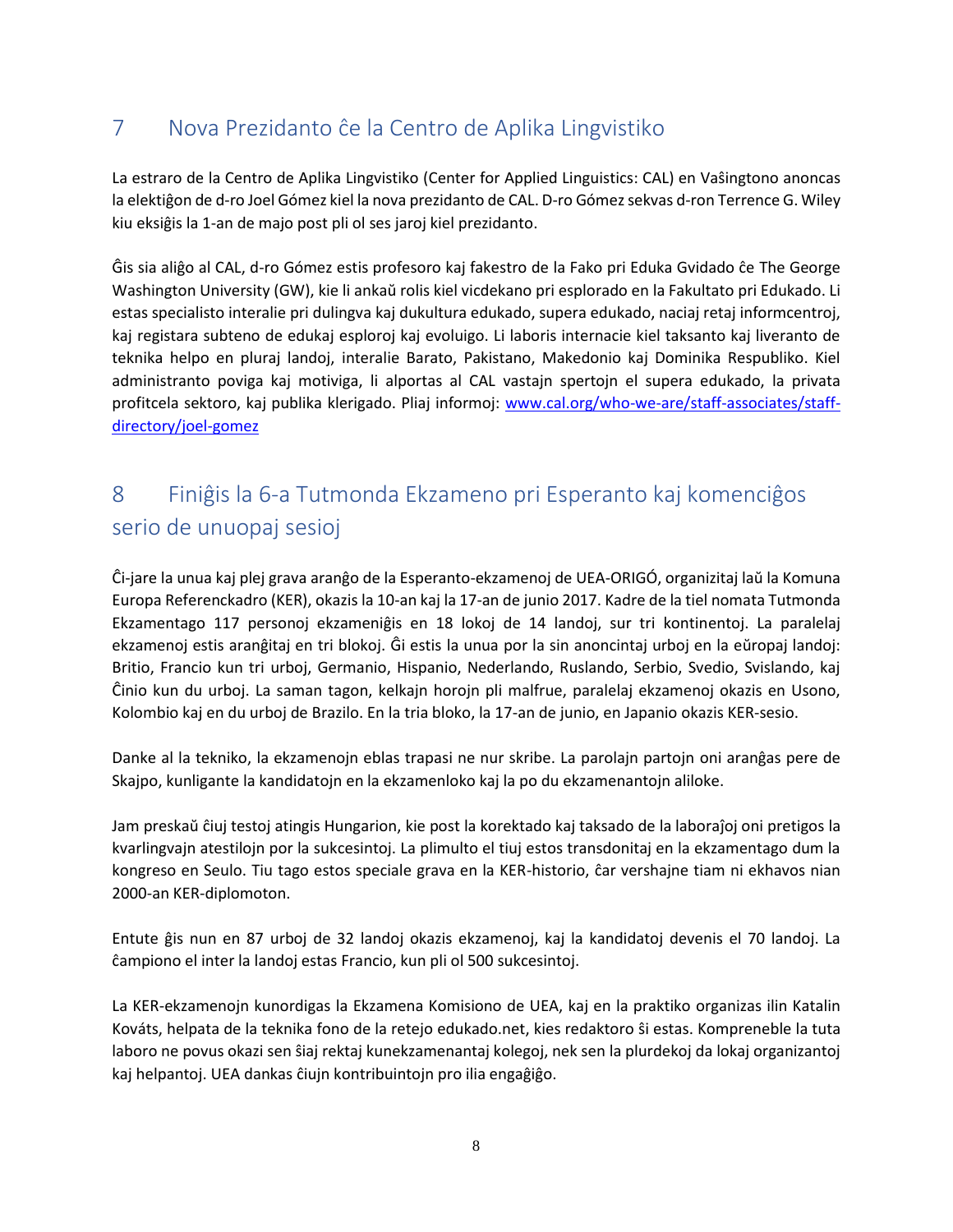# <span id="page-7-0"></span>7 Nova Prezidanto ĉe la Centro de Aplika Lingvistiko

La estraro de la Centro de Aplika Lingvistiko (Center for Applied Linguistics: CAL) en Vaŝingtono anoncas la elektiĝon de d-ro Joel Gómez kiel la nova prezidanto de CAL. D-ro Gómez sekvas d-ron Terrence G. Wiley kiu eksiĝis la 1-an de majo post pli ol ses jaroj kiel prezidanto.

Ĝis sia aliĝo al CAL, d-ro Gómez estis profesoro kaj fakestro de la Fako pri Eduka Gvidado ĉe The George Washington University (GW), kie li ankaŭ rolis kiel vicdekano pri esplorado en la Fakultato pri Edukado. Li estas specialisto interalie pri dulingva kaj dukultura edukado, supera edukado, naciaj retaj informcentroj, kaj registara subteno de edukaj esploroj kaj evoluigo. Li laboris internacie kiel taksanto kaj liveranto de teknika helpo en pluraj landoj, interalie Barato, Pakistano, Makedonio kaj Dominika Respubliko. Kiel administranto poviga kaj motiviga, li alportas al CAL vastajn spertojn el supera edukado, la privata profitcela sektoro, kaj publika klerigado. Pliaj informoj: [www.cal.org/who-we-are/staff-associates/staff](http://www.cal.org/who-we-are/staff-associates/staff-directory/joel-gomez)[directory/joel-gomez](http://www.cal.org/who-we-are/staff-associates/staff-directory/joel-gomez)

# <span id="page-7-1"></span>8 Finiĝis la 6-a Tutmonda Ekzameno pri Esperanto kaj komenciĝos serio de unuopaj sesioj

Ĉi-jare la unua kaj plej grava aranĝo de la Esperanto-ekzamenoj de UEA-ORIGÓ, organizitaj laŭ la Komuna Europa Referenckadro (KER), okazis la 10-an kaj la 17-an de junio 2017. Kadre de la tiel nomata Tutmonda Ekzamentago 117 personoj ekzameniĝis en 18 lokoj de 14 landoj, sur tri kontinentoj. La paralelaj ekzamenoj estis aranĝitaj en tri blokoj. Ĝi estis la unua por la sin anoncintaj urboj en la eŭropaj landoj: Britio, Francio kun tri urboj, Germanio, Hispanio, Nederlando, Ruslando, Serbio, Svedio, Svislando, kaj Ĉinio kun du urboj. La saman tagon, kelkajn horojn pli malfrue, paralelaj ekzamenoj okazis en Usono, Kolombio kaj en du urboj de Brazilo. En la tria bloko, la 17-an de junio, en Japanio okazis KER-sesio.

Danke al la tekniko, la ekzamenojn eblas trapasi ne nur skribe. La parolajn partojn oni aranĝas pere de Skajpo, kunligante la kandidatojn en la ekzamenloko kaj la po du ekzamenantojn aliloke.

Jam preskaŭ ĉiuj testoj atingis Hungarion, kie post la korektado kaj taksado de la laboraĵoj oni pretigos la kvarlingvajn atestilojn por la sukcesintoj. La plimulto el tiuj estos transdonitaj en la ekzamentago dum la kongreso en Seulo. Tiu tago estos speciale grava en la KER-historio, ĉar vershajne tiam ni ekhavos nian 2000-an KER-diplomoton.

Entute ĝis nun en 87 urboj de 32 landoj okazis ekzamenoj, kaj la kandidatoj devenis el 70 landoj. La ĉampiono el inter la landoj estas Francio, kun pli ol 500 sukcesintoj.

La KER-ekzamenojn kunordigas la Ekzamena Komisiono de UEA, kaj en la praktiko organizas ilin Katalin Kováts, helpata de la teknika fono de la retejo edukado.net, kies redaktoro ŝi estas. Kompreneble la tuta laboro ne povus okazi sen ŝiaj rektaj kunekzamenantaj kolegoj, nek sen la plurdekoj da lokaj organizantoj kaj helpantoj. UEA dankas ĉiujn kontribuintojn pro ilia engaĝiĝo.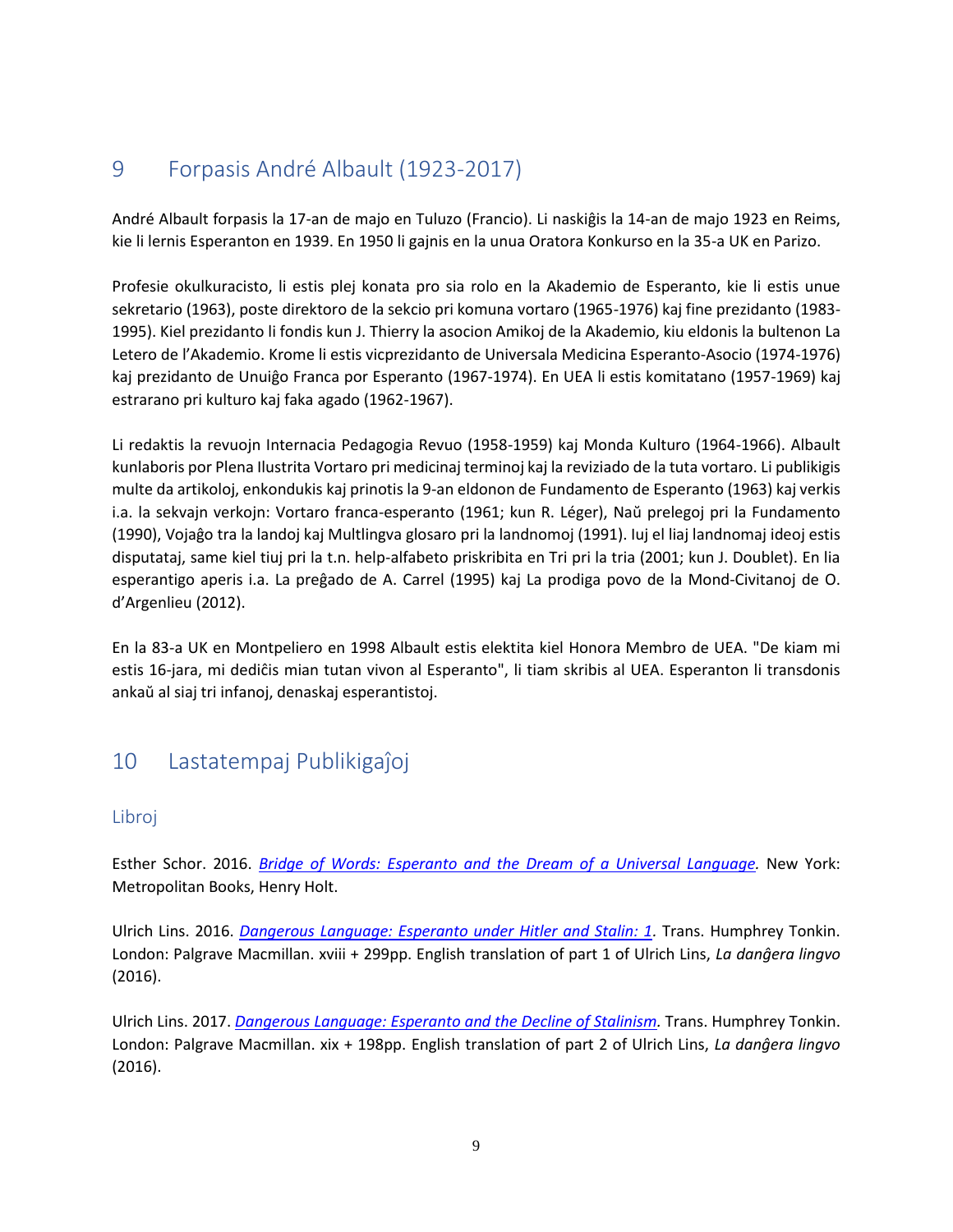## <span id="page-8-0"></span>9 Forpasis André Albault (1923-2017)

André Albault forpasis la 17-an de majo en Tuluzo (Francio). Li naskiĝis la 14-an de majo 1923 en Reims, kie li lernis Esperanton en 1939. En 1950 li gajnis en la unua Oratora Konkurso en la 35-a UK en Parizo.

Profesie okulkuracisto, li estis plej konata pro sia rolo en la Akademio de Esperanto, kie li estis unue sekretario (1963), poste direktoro de la sekcio pri komuna vortaro (1965-1976) kaj fine prezidanto (1983- 1995). Kiel prezidanto li fondis kun J. Thierry la asocion Amikoj de la Akademio, kiu eldonis la bultenon La Letero de l'Akademio. Krome li estis vicprezidanto de Universala Medicina Esperanto-Asocio (1974-1976) kaj prezidanto de Unuiĝo Franca por Esperanto (1967-1974). En UEA li estis komitatano (1957-1969) kaj estrarano pri kulturo kaj faka agado (1962-1967).

Li redaktis la revuojn Internacia Pedagogia Revuo (1958-1959) kaj Monda Kulturo (1964-1966). Albault kunlaboris por Plena Ilustrita Vortaro pri medicinaj terminoj kaj la reviziado de la tuta vortaro. Li publikigis multe da artikoloj, enkondukis kaj prinotis la 9-an eldonon de Fundamento de Esperanto (1963) kaj verkis i.a. la sekvajn verkojn: Vortaro franca-esperanto (1961; kun R. Léger), Naŭ prelegoj pri la Fundamento (1990), Vojaĝo tra la landoj kaj Multlingva glosaro pri la landnomoj (1991). Iuj el liaj landnomaj ideoj estis disputataj, same kiel tiuj pri la t.n. help-alfabeto priskribita en Tri pri la tria (2001; kun J. Doublet). En lia esperantigo aperis i.a. La preĝado de A. Carrel (1995) kaj La prodiga povo de la Mond-Civitanoj de O. d'Argenlieu (2012).

En la 83-a UK en Montpeliero en 1998 Albault estis elektita kiel Honora Membro de UEA. "De kiam mi estis 16-jara, mi dediĉis mian tutan vivon al Esperanto", li tiam skribis al UEA. Esperanton li transdonis ankaŭ al siaj tri infanoj, denaskaj esperantistoj.

## <span id="page-8-1"></span>10 Lastatempaj Publikigaĵoj

## <span id="page-8-2"></span>Libroj

Esther Schor. 2016. *Bridge of Words: Esperanto and the Dream of a Universal Language*. New York: Metropolitan Books, Henry Holt.

Ulrich Lins. 2016. *[Dangerous Language: Esperanto under Hitler and Stalin: 1.](https://www.amazon.com/Dangerous-Language-Esperanto-Hitler-Stalin/dp/1137549165/ref=mt_hardcover?_encoding=UTF8&me=)* Trans. Humphrey Tonkin. London: Palgrave Macmillan. xviii + 299pp. English translation of part 1 of Ulrich Lins, *La danĝera lingvo*  (2016).

Ulrich Lins. 2017. *[Dangerous Language: Esperanto and the Decline of Stalinism.](https://www.amazon.com/Dangerous-Language-Esperanto-Decline-Stalinism/dp/1352000199/ref=sr_1_2?s=books&ie=UTF8&qid=1498591366&sr=1-2)* Trans. Humphrey Tonkin. London: Palgrave Macmillan. xix + 198pp. English translation of part 2 of Ulrich Lins, *La danĝera lingvo*  (2016).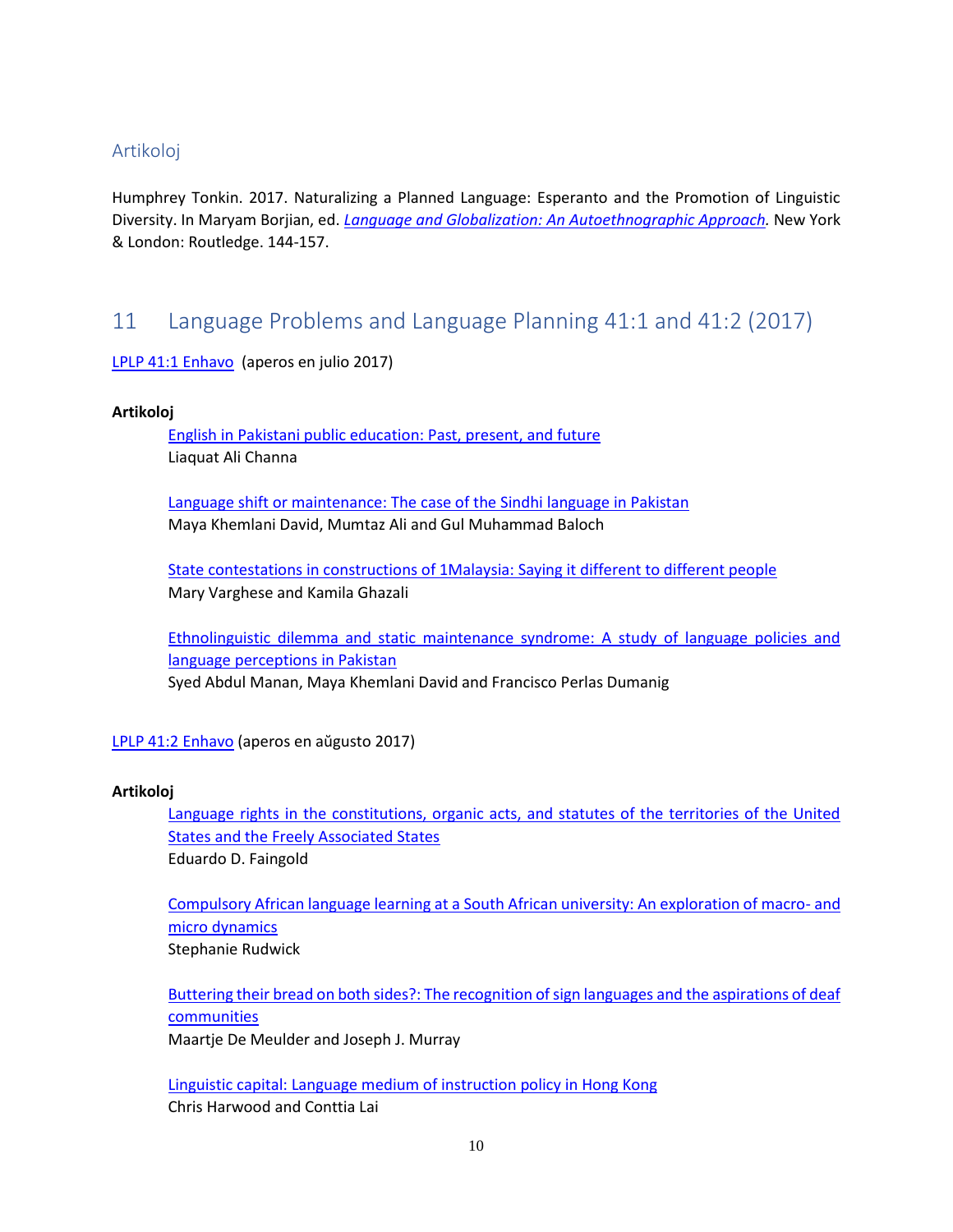### <span id="page-9-0"></span>Artikoloj

Humphrey Tonkin. 2017. Naturalizing a Planned Language: Esperanto and the Promotion of Linguistic Diversity. In Maryam Borjian, ed. *[Language and Globalization: An Autoethnographic Approach.](https://www.routledge.com/Language-and-Globalization-An-Autoethnographic-Approach/Borjian/p/book/9781138227811)* New York & London: Routledge. 144-157.

## <span id="page-9-1"></span>11 Language Problems and Language Planning 41:1 and 41:2 (2017)

<span id="page-9-2"></span>[LPLP 41:1 Enhavo](https://benjamins.com/#catalog/journals/lplp.41.1/toc) (aperos en julio 2017)

#### **Artikoloj**

[English in Pakistani public education: Past, present, and future](https://benjamins.com/#catalog/journals/lplp.41.1.01cha) Liaquat Ali Channa

[Language shift or maintenance: The case of the Sindhi language in Pakistan](https://benjamins.com/#catalog/journals/lplp.41.1.02dav) Maya Khemlani David, Mumtaz Ali and Gul Muhammad Baloch

[State contestations in constructions of 1Malaysia: Saying it different to different people](https://benjamins.com/#catalog/journals/lplp.41.1.03var) Mary Varghese and Kamila Ghazali

[Ethnolinguistic dilemma and static maintenance syndrome: A study of language policies and](https://benjamins.com/#catalog/journals/lplp.41.1.04man)  [language perceptions in Pakistan](https://benjamins.com/#catalog/journals/lplp.41.1.04man) Syed Abdul Manan, Maya Khemlani David and Francisco Perlas Dumanig

<span id="page-9-3"></span>[LPLP 41:2 Enhavo](https://benjamins.com/#catalog/journals/lplp.41.2/toc) (aperos en aŭgusto 2017)

#### **Artikoloj**

[Language rights in the constitutions, organic acts, and statutes of the territories of the United](https://benjamins.com/#catalog/journals/lplp.41.2.01fai)  [States and the Freely Associated States](https://benjamins.com/#catalog/journals/lplp.41.2.01fai) Eduardo D. Faingold

[Compulsory African language learning at a South African university: An exploration of macro-](https://benjamins.com/#catalog/journals/lplp.41.2.03rud) and [micro dynamics](https://benjamins.com/#catalog/journals/lplp.41.2.03rud) Stephanie Rudwick

[Buttering their bread on both sides?: The recognition of sign languages and the aspirations of deaf](https://benjamins.com/#catalog/journals/lplp.41.2.04dem)  [communities](https://benjamins.com/#catalog/journals/lplp.41.2.04dem)

Maartje De Meulder and Joseph J. Murray

[Linguistic capital: Language medium of instruction policy in Hong Kong](https://benjamins.com/#catalog/journals/lplp.41.2.05har) Chris Harwood and Conttia Lai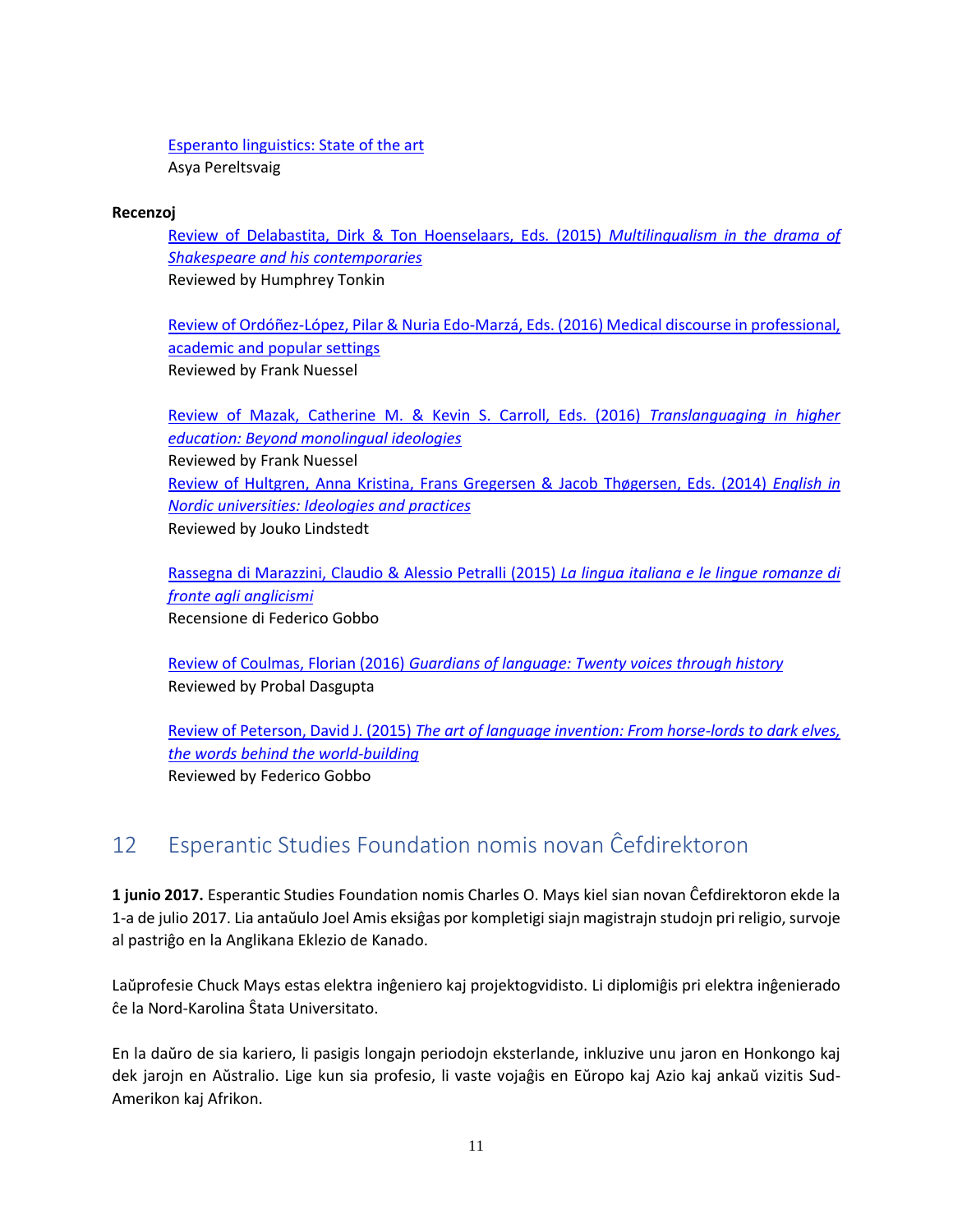[Esperanto linguistics: State of the art](https://benjamins.com/#catalog/journals/lplp.41.2.06per) Asya Pereltsvaig

#### **Recenzoj**

[Review of Delabastita, Dirk & Ton Hoenselaars, Eds. \(2015\)](https://benjamins.com/#catalog/journals/lplp.41.2.07ton) *Multilingualism in the drama of [Shakespeare and his contemporaries](https://benjamins.com/#catalog/journals/lplp.41.2.07ton)* Reviewed by Humphrey Tonkin

[Review of Ordóñez-López, Pilar & Nuria Edo-Marzá, Eds. \(2016\) Medical discourse in professional,](https://benjamins.com/#catalog/journals/lplp.41.2.08nue)  [academic and popular settings](https://benjamins.com/#catalog/journals/lplp.41.2.08nue) Reviewed by Frank Nuessel

[Review of Mazak, Catherine M. & Kevin S. Carroll, Eds. \(2016\)](https://benjamins.com/#catalog/journals/lplp.41.2.09nue) *Translanguaging in higher [education: Beyond monolingual ideologies](https://benjamins.com/#catalog/journals/lplp.41.2.09nue)* Reviewed by Frank Nuessel [Review of Hultgren, Anna Kristina, Frans Gregersen & Jacob Thøgersen, Eds. \(2014\)](https://benjamins.com/#catalog/journals/lplp.41.2.10lin) *English in [Nordic universities: Ideologies and practices](https://benjamins.com/#catalog/journals/lplp.41.2.10lin)* Reviewed by Jouko Lindstedt

[Rassegna di Marazzini, Claudio & Alessio Petralli \(2015\)](https://benjamins.com/#catalog/journals/lplp.41.2.11gob) *La lingua italiana e le lingue romanze di [fronte agli anglicismi](https://benjamins.com/#catalog/journals/lplp.41.2.11gob)* Recensione di Federico Gobbo

Review of Coulmas, Florian (2016) *[Guardians of language: Twenty voices through history](https://benjamins.com/#catalog/journals/lplp.41.2.12das)* Reviewed by Probal Dasgupta

Review of Peterson, David J. (2015) *[The art of language invention: From horse-lords to dark elves,](https://benjamins.com/#catalog/journals/lplp.41.2.13gob)  [the words behind the world-building](https://benjamins.com/#catalog/journals/lplp.41.2.13gob)* Reviewed by Federico Gobbo

## <span id="page-10-0"></span>12 Esperantic Studies Foundation nomis novan Ĉefdirektoron

**1 junio 2017.** Esperantic Studies Foundation nomis Charles O. Mays kiel sian novan Ĉefdirektoron ekde la 1-a de julio 2017. Lia antaŭulo Joel Amis eksiĝas por kompletigi siajn magistrajn studojn pri religio, survoje al pastriĝo en la Anglikana Eklezio de Kanado.

Laŭprofesie Chuck Mays estas elektra inĝeniero kaj projektogvidisto. Li diplomiĝis pri elektra inĝenierado ĉe la Nord-Karolina Ŝtata Universitato.

En la daŭro de sia kariero, li pasigis longajn periodojn eksterlande, inkluzive unu jaron en Honkongo kaj dek jarojn en Aŭstralio. Lige kun sia profesio, li vaste vojaĝis en Eŭropo kaj Azio kaj ankaŭ vizitis Sud-Amerikon kaj Afrikon.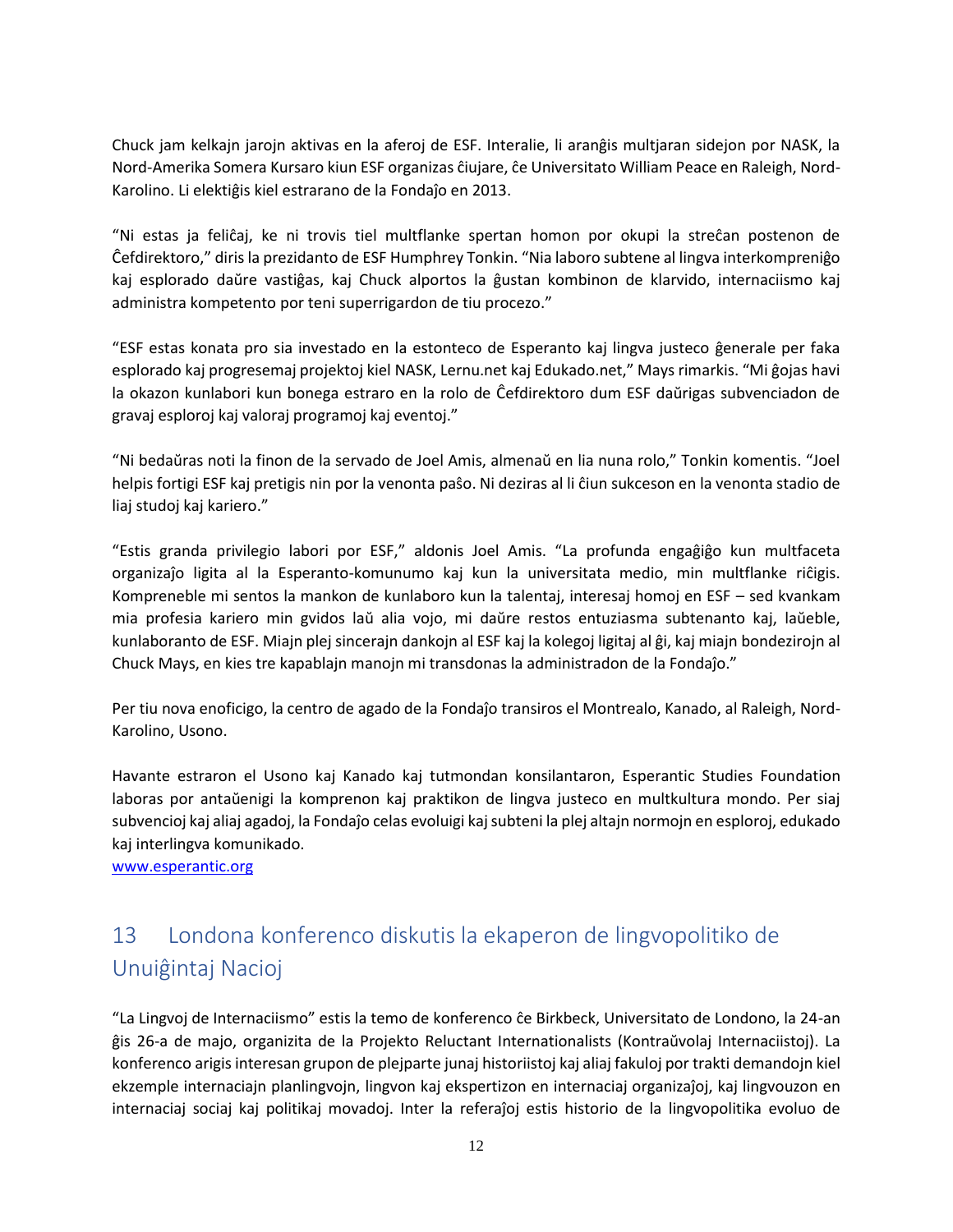Chuck jam kelkajn jarojn aktivas en la aferoj de ESF. Interalie, li aranĝis multjaran sidejon por NASK, la Nord-Amerika Somera Kursaro kiun ESF organizas ĉiujare, ĉe Universitato William Peace en Raleigh, Nord-Karolino. Li elektiĝis kiel estrarano de la Fondaĵo en 2013.

"Ni estas ja feliĉaj, ke ni trovis tiel multflanke spertan homon por okupi la streĉan postenon de Ĉefdirektoro," diris la prezidanto de ESF Humphrey Tonkin. "Nia laboro subtene al lingva interkompreniĝo kaj esplorado daŭre vastiĝas, kaj Chuck alportos la ĝustan kombinon de klarvido, internaciismo kaj administra kompetento por teni superrigardon de tiu procezo."

"ESF estas konata pro sia investado en la estonteco de Esperanto kaj lingva justeco ĝenerale per faka esplorado kaj progresemaj projektoj kiel NASK, Lernu.net kaj Edukado.net," Mays rimarkis. "Mi ĝojas havi la okazon kunlabori kun bonega estraro en la rolo de Ĉefdirektoro dum ESF daŭrigas subvenciadon de gravaj esploroj kaj valoraj programoj kaj eventoj."

"Ni bedaŭras noti la finon de la servado de Joel Amis, almenaŭ en lia nuna rolo," Tonkin komentis. "Joel helpis fortigi ESF kaj pretigis nin por la venonta paŝo. Ni deziras al li ĉiun sukceson en la venonta stadio de liaj studoj kaj kariero."

"Estis granda privilegio labori por ESF," aldonis Joel Amis. "La profunda engaĝiĝo kun multfaceta organizaĵo ligita al la Esperanto-komunumo kaj kun la universitata medio, min multflanke riĉigis. Kompreneble mi sentos la mankon de kunlaboro kun la talentaj, interesaj homoj en ESF – sed kvankam mia profesia kariero min gvidos laŭ alia vojo, mi daŭre restos entuziasma subtenanto kaj, laŭeble, kunlaboranto de ESF. Miajn plej sincerajn dankojn al ESF kaj la kolegoj ligitaj al ĝi, kaj miajn bondezirojn al Chuck Mays, en kies tre kapablajn manojn mi transdonas la administradon de la Fondaĵo."

Per tiu nova enoficigo, la centro de agado de la Fondaĵo transiros el Montrealo, Kanado, al Raleigh, Nord-Karolino, Usono.

Havante estraron el Usono kaj Kanado kaj tutmondan konsilantaron, Esperantic Studies Foundation laboras por antaŭenigi la komprenon kaj praktikon de lingva justeco en multkultura mondo. Per siaj subvencioj kaj aliaj agadoj, la Fondaĵo celas evoluigi kaj subteni la plej altajn normojn en esploroj, edukado kaj interlingva komunikado.

[www.esperantic.org](http://www.esperantic.org/)

# <span id="page-11-0"></span>13 Londona konferenco diskutis la ekaperon de lingvopolitiko de Unuiĝintaj Nacioj

"La Lingvoj de Internaciismo" estis la temo de konferenco ĉe Birkbeck, Universitato de Londono, la 24-an ĝis 26-a de majo, organizita de la Projekto Reluctant Internationalists (Kontraŭvolaj Internaciistoj). La konferenco arigis interesan grupon de plejparte junaj historiistoj kaj aliaj fakuloj por trakti demandojn kiel ekzemple internaciajn planlingvojn, lingvon kaj ekspertizon en internaciaj organizaĵoj, kaj lingvouzon en internaciaj sociaj kaj politikaj movadoj. Inter la referaĵoj estis historio de la lingvopolitika evoluo de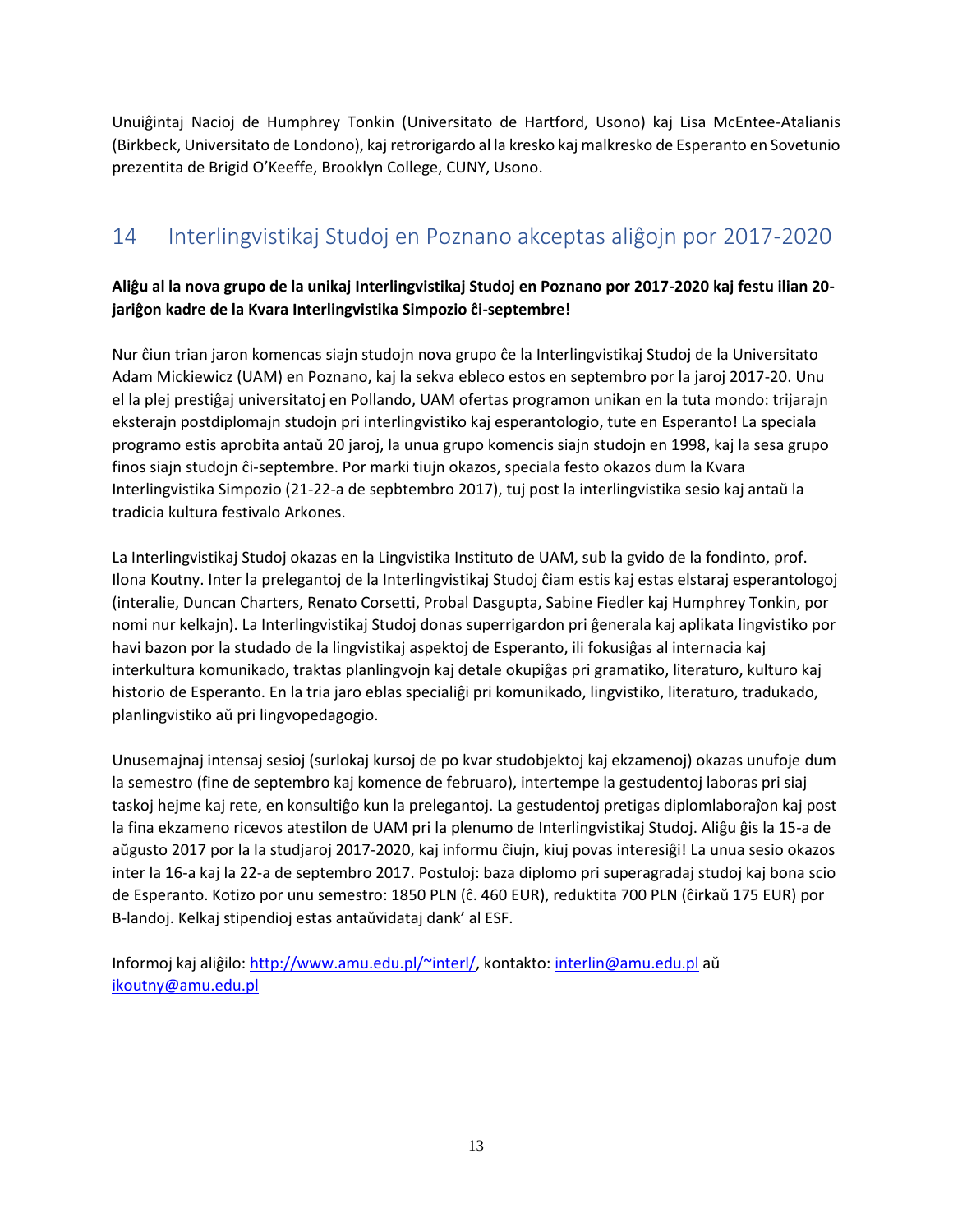Unuiĝintaj Nacioj de Humphrey Tonkin (Universitato de Hartford, Usono) kaj Lisa McEntee-Atalianis (Birkbeck, Universitato de Londono), kaj retrorigardo al la kresko kaj malkresko de Esperanto en Sovetunio prezentita de Brigid O'Keeffe, Brooklyn College, CUNY, Usono.

# <span id="page-12-0"></span>14 Interlingvistikaj Studoj en Poznano akceptas aliĝojn por 2017-2020

## **Aliĝu al la nova grupo de la unikaj Interlingvistikaj Studoj en Poznano por 2017-2020 kaj festu ilian 20 jariĝon kadre de la Kvara Interlingvistika Simpozio ĉi-septembre!**

Nur ĉiun trian jaron komencas siajn studojn nova grupo ĉe la Interlingvistikaj Studoj de la Universitato Adam Mickiewicz (UAM) en Poznano, kaj la sekva ebleco estos en septembro por la jaroj 2017-20. Unu el la plej prestiĝaj universitatoj en Pollando, UAM ofertas programon unikan en la tuta mondo: trijarajn eksterajn postdiplomajn studojn pri interlingvistiko kaj esperantologio, tute en Esperanto! La speciala programo estis aprobita antaŭ 20 jaroj, la unua grupo komencis siajn studojn en 1998, kaj la sesa grupo finos siajn studojn ĉi-septembre. Por marki tiujn okazos, speciala festo okazos dum la Kvara Interlingvistika Simpozio (21-22-a de sepbtembro 2017), tuj post la interlingvistika sesio kaj antaŭ la tradicia kultura festivalo Arkones.

La Interlingvistikaj Studoj okazas en la Lingvistika Instituto de UAM, sub la gvido de la fondinto, prof. Ilona Koutny. Inter la prelegantoj de la Interlingvistikaj Studoj ĉiam estis kaj estas elstaraj esperantologoj (interalie, Duncan Charters, Renato Corsetti, Probal Dasgupta, Sabine Fiedler kaj Humphrey Tonkin, por nomi nur kelkajn). La Interlingvistikaj Studoj donas superrigardon pri ĝenerala kaj aplikata lingvistiko por havi bazon por la studado de la lingvistikaj aspektoj de Esperanto, ili fokusiĝas al internacia kaj interkultura komunikado, traktas planlingvojn kaj detale okupiĝas pri gramatiko, literaturo, kulturo kaj historio de Esperanto. En la tria jaro eblas specialiĝi pri komunikado, lingvistiko, literaturo, tradukado, planlingvistiko aŭ pri lingvopedagogio.

Unusemajnaj intensaj sesioj (surlokaj kursoj de po kvar studobjektoj kaj ekzamenoj) okazas unufoje dum la semestro (fine de septembro kaj komence de februaro), intertempe la gestudentoj laboras pri siaj taskoj hejme kaj rete, en konsultiĝo kun la prelegantoj. La gestudentoj pretigas diplomlaboraĵon kaj post la fina ekzameno ricevos atestilon de UAM pri la plenumo de Interlingvistikaj Studoj. Aliĝu ĝis la 15-a de aŭgusto 2017 por la la studjaroj 2017-2020, kaj informu ĉiujn, kiuj povas interesiĝi! La unua sesio okazos inter la 16-a kaj la 22-a de septembro 2017. Postuloj: baza diplomo pri superagradaj studoj kaj bona scio de Esperanto. Kotizo por unu semestro: 1850 PLN (ĉ. 460 EUR), reduktita 700 PLN (ĉirkaŭ 175 EUR) por B-landoj. Kelkaj stipendioj estas antaŭvidataj dank' al ESF.

Informoj kaj aliĝilo: [http://www.amu.edu.pl/~interl/,](http://www.amu.edu.pl/~interl/) kontakto: [interlin@amu.edu.pl](file:///C:/Users/yamis/Desktop/esf%20temp/interlin@amu.edu.pl) aŭ [ikoutny@amu.edu.pl](file:///C:/Users/yamis/Desktop/esf%20temp/ikoutny@amu.edu.pl)